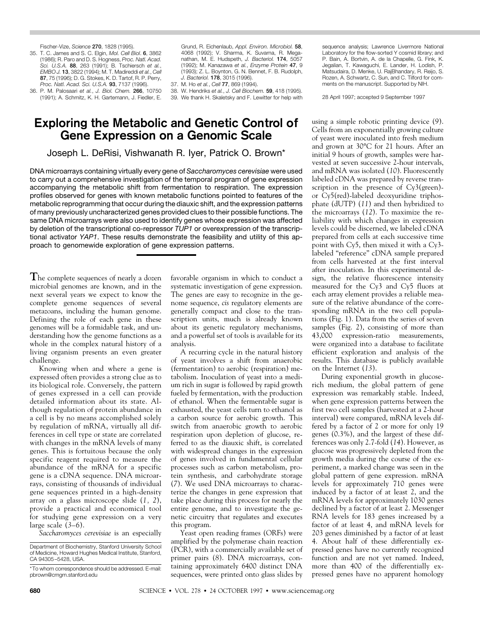Fischer-Vize, *Science* 270, 1828 (1995).

- 35. T. C. James and S. C. Elgin, *Mol. Cell Biol*. 6, 3862 (1986); R. Paro and D. S. Hogness, *Proc. Natl. Acad. Sci. U.S.A.* 88, 263 (1991); B. Tschiersch *et al.*, *EMBO J.* 13, 3822 (1994); M. T. Madireddi *et al.*, *Cell* 87, 75 (1996); D. G. Stokes, K. D. Tartof, R. P. Perry, *Proc. Natl. Acad. Sci. U.S.A.* 93, 7137 (1996).
- 36. P. M. Palosaari *et al.*, *J. Biol. Chem.* 266, 10750 (1991); A. Schmitz, K. H. Gartemann, J. Fiedler, E.

Grund, R. Eichenlaub, *Appl. Environ. Microbiol.* 58, 4068 (1992); V. Sharma, K. Suvarna, R. Meganathan, M. E. Hudspeth, *J. Bacteriol.* 174, 5057 (1992); M. Kanazawa *et al.*, *Enzyme Protein* 47, 9 (1993); Z. L. Boynton, G. N. Bennet, F. B. Rudolph, *J. Bacteriol.* 178, 3015 (1996).

37. M. Ho *et al.*, *Cell* 77, 869 (1994).

38. W. Hendriks *et al.*, *J. Cell Biochem.* 59, 418 (1995). 39. We thank H. Skaletsky and F. Lewitter for help with

## **Exploring the Metabolic and Genetic Control of Gene Expression on a Genomic Scale**

Joseph L. DeRisi, Vishwanath R. Iyer, Patrick O. Brown\*

DNA microarrays containing virtually every gene of *Saccharomyces cerevisiae* were used to carry out a comprehensive investigation of the temporal program of gene expression accompanying the metabolic shift from fermentation to respiration. The expression profiles observed for genes with known metabolic functions pointed to features of the metabolic reprogramming that occur during the diauxic shift, and the expression patterns of many previously uncharacterized genes provided clues to their possible functions. The same DNA microarrays were also used to identify genes whose expression was affected by deletion of the transcriptional co-repressor *TUP1* or overexpression of the transcriptional activator *YAP1*. These results demonstrate the feasibility and utility of this approach to genomewide exploration of gene expression patterns.

**T**he complete sequences of nearly a dozen microbial genomes are known, and in the next several years we expect to know the complete genome sequences of several metazoans, including the human genome. Defining the role of each gene in these genomes will be a formidable task, and understanding how the genome functions as a whole in the complex natural history of a living organism presents an even greater challenge.

Knowing when and where a gene is expressed often provides a strong clue as to its biological role. Conversely, the pattern of genes expressed in a cell can provide detailed information about its state. Although regulation of protein abundance in a cell is by no means accomplished solely by regulation of mRNA, virtually all differences in cell type or state are correlated with changes in the mRNA levels of many genes. This is fortuitous because the only specific reagent required to measure the abundance of the mRNA for a specific gene is a cDNA sequence. DNA microarrays, consisting of thousands of individual gene sequences printed in a high-density array on a glass microscope slide (*1, 2*), provide a practical and economical tool for studying gene expression on a very large scale (*3–6*).

*Saccharomyces cerevisiae* is an especially

favorable organism in which to conduct a systematic investigation of gene expression. The genes are easy to recognize in the genome sequence, *cis* regulatory elements are generally compact and close to the transcription units, much is already known about its genetic regulatory mechanisms, and a powerful set of tools is available for its analysis.

A recurring cycle in the natural history of yeast involves a shift from anaerobic (fermentation) to aerobic (respiration) metabolism. Inoculation of yeast into a medium rich in sugar is followed by rapid growth fueled by fermentation, with the production of ethanol. When the fermentable sugar is exhausted, the yeast cells turn to ethanol as a carbon source for aerobic growth. This switch from anaerobic growth to aerobic respiration upon depletion of glucose, referred to as the diauxic shift, is correlated with widespread changes in the expression of genes involved in fundamental cellular processes such as carbon metabolism, protein synthesis, and carbohydrate storage (*7*). We used DNA microarrays to characterize the changes in gene expression that take place during this process for nearly the entire genome, and to investigate the genetic circuitry that regulates and executes this program.

Yeast open reading frames (ORFs) were amplified by the polymerase chain reaction (PCR), with a commercially available set of primer pairs (*8*). DNA microarrays, containing approximately 6400 distinct DNA sequences, were printed onto glass slides by sequence analysis; Lawrence Livermore National Laboratory for the flow-sorted Y cosmid library; and P. Bain, A. Bortvin, A. de la Chapelle, G. Fink, K. Jegalian, T. Kawaguchi, E. Lander, H. Lodish, P. Matsudaira, D. Menke, U. RajBhandary, R. Reijo, S. Rozen, A. Schwartz, C. Sun, and C. Tilford for comments on the manuscript. Supported by NIH.

28 April 1997; accepted 9 September 1997

using a simple robotic printing device (*9*). Cells from an exponentially growing culture of yeast were inoculated into fresh medium and grown at 30°C for 21 hours. After an initial 9 hours of growth, samples were harvested at seven successive 2-hour intervals, and mRNA was isolated (*10*). Fluorescently labeled cDNA was prepared by reverse transcription in the presence of Cy3(green) or Cy5(red)-labeled deoxyuridine triphosphate (dUTP) (*11*) and then hybridized to the microarrays (*12*). To maximize the reliability with which changes in expression levels could be discerned, we labeled cDNA prepared from cells at each successive time point with Cy5, then mixed it with a Cy3 labeled "reference" cDNA sample prepared from cells harvested at the first interval after inoculation. In this experimental design, the relative fluorescence intensity measured for the Cy3 and Cy5 fluors at each array element provides a reliable measure of the relative abundance of the corresponding mRNA in the two cell populations (Fig. 1). Data from the series of seven samples (Fig. 2), consisting of more than 43,000 expression-ratio measurements, were organized into a database to facilitate efficient exploration and analysis of the results. This database is publicly available on the Internet (*13*).

During exponential growth in glucoserich medium, the global pattern of gene expression was remarkably stable. Indeed, when gene expression patterns between the first two cell samples (harvested at a 2-hour interval) were compared, mRNA levels differed by a factor of 2 or more for only 19 genes (0.3%), and the largest of these differences was only 2.7-fold (*14*). However, as glucose was progressively depleted from the growth media during the course of the experiment, a marked change was seen in the global pattern of gene expression. mRNA levels for approximately 710 genes were induced by a factor of at least 2, and the mRNA levels for approximately 1030 genes declined by a factor of at least 2. Messenger RNA levels for 183 genes increased by a factor of at least 4, and mRNA levels for 203 genes diminished by a factor of at least 4. About half of these differentially expressed genes have no currently recognized function and are not yet named. Indeed, more than 400 of the differentially expressed genes have no apparent homology

Department of Biochemistry, Stanford University School of Medicine, Howard Hughes Medical Institute, Stanford, CA 94305–5428, USA.

<sup>\*</sup>To whom correspondence should be addressed. E-mail: pbrown@cmgm.stanford.edu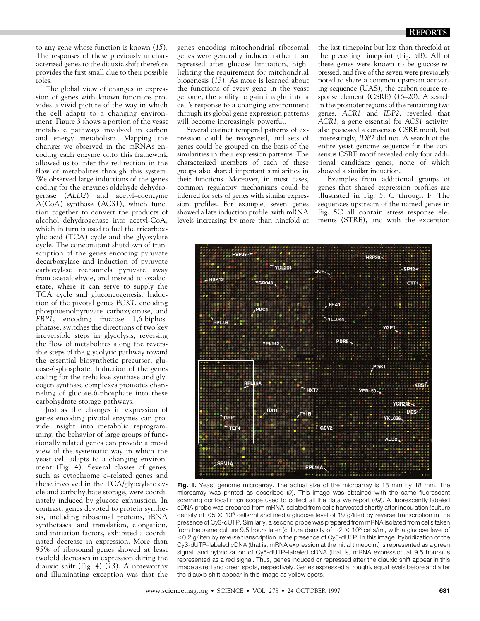to any gene whose function is known (*15*). The responses of these previously uncharacterized genes to the diauxic shift therefore provides the first small clue to their possible roles.

The global view of changes in expression of genes with known functions provides a vivid picture of the way in which the cell adapts to a changing environment. Figure 3 shows a portion of the yeast metabolic pathways involved in carbon and energy metabolism. Mapping the changes we observed in the mRNAs encoding each enzyme onto this framework allowed us to infer the redirection in the flow of metabolites through this system. We observed large inductions of the genes coding for the enzymes aldehyde dehydrogenase (*ALD2*) and acetyl–coenzyme A(CoA) synthase (*ACS1*), which function together to convert the products of alcohol dehydrogenase into acetyl-CoA, which in turn is used to fuel the tricarboxylic acid (TCA) cycle and the glyoxylate cycle. The concomitant shutdown of transcription of the genes encoding pyruvate decarboxylase and induction of pyruvate carboxylase rechannels pyruvate away from acetaldehyde, and instead to oxalacetate, where it can serve to supply the TCA cycle and gluconeogenesis. Induction of the pivotal genes *PCK1*, encoding phosphoenolpyruvate carboxykinase, and *FBP1*, encoding fructose 1,6-biphosphatase, switches the directions of two key irreversible steps in glycolysis, reversing the flow of metabolites along the reversible steps of the glycolytic pathway toward the essential biosynthetic precursor, glucose-6-phosphate. Induction of the genes coding for the trehalose synthase and glycogen synthase complexes promotes channeling of glucose-6-phosphate into these carbohydrate storage pathways.

Just as the changes in expression of genes encoding pivotal enzymes can provide insight into metabolic reprogramming, the behavior of large groups of functionally related genes can provide a broad view of the systematic way in which the yeast cell adapts to a changing environment (Fig. 4). Several classes of genes, such as cytochrome c–related genes and those involved in the TCA/glyoxylate cycle and carbohydrate storage, were coordinately induced by glucose exhaustion. In contrast, genes devoted to protein synthesis, including ribosomal proteins, tRNA synthetases, and translation, elongation, and initiation factors, exhibited a coordinated decrease in expression. More than 95% of ribosomal genes showed at least twofold decreases in expression during the diauxic shift (Fig. 4) (*13*). A noteworthy and illuminating exception was that the

genes encoding mitochondrial ribosomal genes were generally induced rather than repressed after glucose limitation, highlighting the requirement for mitchondrial biogenesis (*13*). As more is learned about the functions of every gene in the yeast genome, the ability to gain insight into a cell's response to a changing environment through its global gene expression patterns will become increasingly powerful.

Several distinct temporal patterns of expression could be recognized, and sets of genes could be grouped on the basis of the similarities in their expression patterns. The characterized members of each of these groups also shared important similarities in their functions. Moreover, in most cases, common regulatory mechanisms could be inferred for sets of genes with similar expression profiles. For example, seven genes showed a late induction profile, with mRNA levels increasing by more than ninefold at

the last timepoint but less than threefold at the preceding timepoint (Fig. 5B). All of these genes were known to be glucose-repressed, and five of the seven were previously noted to share a common upstream activating sequence (UAS), the carbon source response element (CSRE) (*16*–*20*). A search in the promoter regions of the remaining two genes, *ACR1* and *IDP2*, revealed that *ACR1*, a gene essential for *ACS1* activity, also possessed a consensus CSRE motif, but interestingly, *IDP2* did not. A search of the entire yeast genome sequence for the consensus CSRE motif revealed only four additional candidate genes, none of which showed a similar induction.

Examples from additional groups of genes that shared expression profiles are illustrated in Fig. 5, C through F. The sequences upstream of the named genes in Fig. 5C all contain stress response elements (STRE), and with the exception



Fig. 1. Yeast genome microarray. The actual size of the microarray is 18 mm by 18 mm. The microarray was printed as described (*9*). This image was obtained with the same fluorescent scanning confocal microscope used to collect all the data we report (*49*). A fluorescently labeled cDNA probe was prepared from mRNA isolated from cells harvested shortly after inoculation (culture density of  $<$  5  $\times$  10<sup>6</sup> cells/ml and media glucose level of 19 g/liter) by reverse transcription in the presence of Cy3-dUTP. Similarly, a second probe was prepared from mRNA isolated from cells taken from the same culture 9.5 hours later (culture density of  $\sim$  2  $\times$  10<sup>8</sup> cells/ml, with a glucose level of ,0.2 g/liter) by reverse transcription in the presence of Cy5-dUTP. In this image, hybridization of the Cy3-dUTP–labeled cDNA (that is, mRNA expression at the initial timepoint) is represented as a green signal, and hybridization of Cy5-dUTP–labeled cDNA (that is, mRNA expression at 9.5 hours) is represented as a red signal. Thus, genes induced or repressed after the diauxic shift appear in this image as red and green spots, respectively. Genes expressed at roughly equal levels before and after the diauxic shift appear in this image as yellow spots.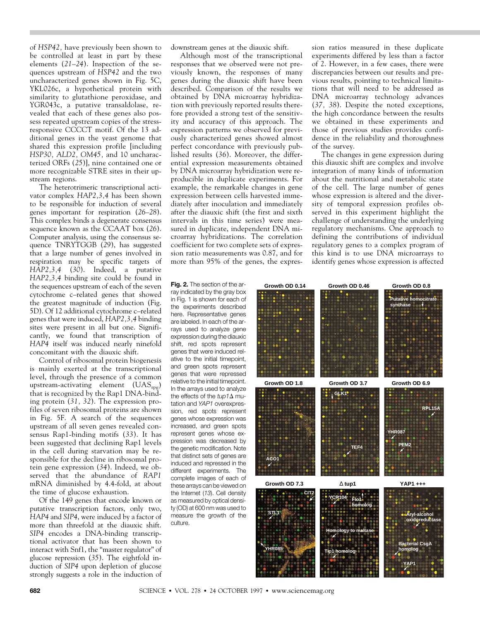of *HSP42,* have previously been shown to be controlled at least in part by these elements (*21*–*24*). Inspection of the sequences upstream of *HSP42* and the two uncharacterized genes shown in Fig. 5C, YKL026c, a hypothetical protein with similarity to glutathione peroxidase, and YGR043c, a putative transaldolase, revealed that each of these genes also possess repeated upstream copies of the stressresponsive CCCCT motif. Of the 13 additional genes in the yeast genome that shared this expression profile [including *HSP30, ALD2, OM45,* and 10 uncharacterized ORFs (*25*)], nine contained one or more recognizable STRE sites in their upstream regions.

The heterotrimeric transcriptional activator complex *HAP2,3,4* has been shown to be responsible for induction of several genes important for respiration (*26*–*28*). This complex binds a degenerate consensus sequence known as the CCAAT box (*26*). Computer analysis, using the consensus sequence TNRYTGGB (*29*), has suggested that a large number of genes involved in respiration may be specific targets of *HAP2,3,4* (*30*). Indeed, a putative *HAP2,3,4* binding site could be found in the sequences upstream of each of the seven cytochrome c–related genes that showed the greatest magnitude of induction (Fig. 5D). Of 12 additional cytochrome c–related genes that were induced, *HAP2,3,4* binding sites were present in all but one. Significantly, we found that transcription of *HAP4* itself was induced nearly ninefold concomitant with the diauxic shift.

Control of ribosomal protein biogenesis is mainly exerted at the transcriptional level, through the presence of a common upstream-activating element (UAS<sub>rpg</sub>) that is recognized by the Rap1 DNA-binding protein (*31, 32*). The expression profiles of seven ribosomal proteins are shown in Fig. 5F. A search of the sequences upstream of all seven genes revealed consensus Rap1-binding motifs (*33*). It has been suggested that declining Rap1 levels in the cell during starvation may be responsible for the decline in ribosomal protein gene expression (*34*). Indeed, we observed that the abundance of *RAP1* mRNA diminished by 4.4-fold, at about the time of glucose exhaustion.

Of the 149 genes that encode known or putative transcription factors, only two, *HAP4* and *SIP4*, were induced by a factor of more than threefold at the diauxic shift. *SIP4* encodes a DNA-binding transcriptional activator that has been shown to interact with Snf1, the "master regulator" of glucose repression (*35*). The eightfold induction of *SIP4* upon depletion of glucose strongly suggests a role in the induction of downstream genes at the diauxic shift.

Although most of the transcriptional responses that we observed were not previously known, the responses of many genes during the diauxic shift have been described. Comparison of the results we obtained by DNA microarray hybridization with previously reported results therefore provided a strong test of the sensitivity and accuracy of this approach. The expression patterns we observed for previously characterized genes showed almost perfect concordance with previously published results (*36*). Moreover, the differential expression measurements obtained by DNA microarray hybridization were reproducible in duplicate experiments. For example, the remarkable changes in gene expression between cells harvested immediately after inoculation and immediately after the diauxic shift (the first and sixth intervals in this time series) were measured in duplicate, independent DNA microarray hybridizations. The correlation coefficient for two complete sets of expression ratio measurements was 0.87, and for more than 95% of the genes, the expres-

**Fig. 2.** The section of the array indicated by the gray box in Fig. 1 is shown for each of the experiments described here. Representative genes are labeled. In each of the arrays used to analyze gene expression during the diauxic shift, red spots represent genes that were induced relative to the initial timepoint, and green spots represent genes that were repressed relative to the initial timepoint. In the arrays used to analyze the effects of the  $t$ up1 $\Lambda$  mutation and *YAP1* overexpression, red spots represent genes whose expression was increased, and green spots represent genes whose expression was decreased by the genetic modification. Note that distinct sets of genes are induced and repressed in the different experiments. The complete images of each of these arrays can be viewed on the Internet (*13*). Cell density as measured by optical density (OD) at 600 nm was used to measure the growth of the culture.

sion ratios measured in these duplicate experiments differed by less than a factor of 2. However, in a few cases, there were discrepancies between our results and previous results, pointing to technical limitations that will need to be addressed as DNA microarray technology advances (*37, 38*). Despite the noted exceptions, the high concordance between the results we obtained in these experiments and those of previous studies provides confidence in the reliability and thoroughness of the survey.

The changes in gene expression during this diauxic shift are complex and involve integration of many kinds of information about the nutritional and metabolic state of the cell. The large number of genes whose expression is altered and the diversity of temporal expression profiles observed in this experiment highlight the challenge of understanding the underlying regulatory mechanisms. One approach to defining the contributions of individual regulatory genes to a complex program of this kind is to use DNA microarrays to identify genes whose expression is affected

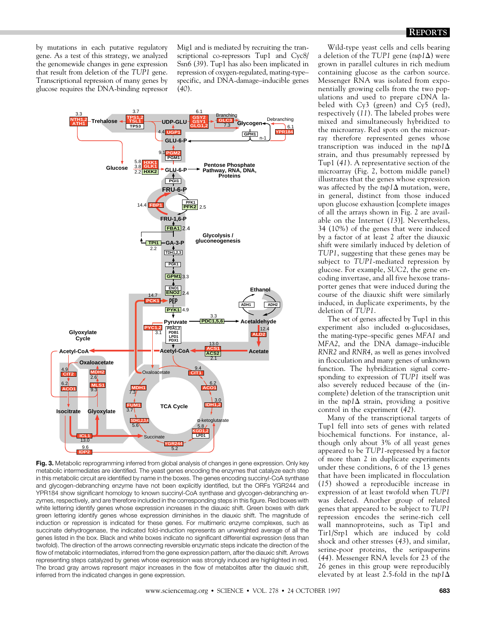by mutations in each putative regulatory gene. As a test of this strategy, we analyzed the genomewide changes in gene expression that result from deletion of the *TUP1* gene. Transcriptional repression of many genes by glucose requires the DNA-binding repressor Mig1 and is mediated by recruiting the transcriptional co-repressors Tup1 and Cyc8/ Ssn6 (*39*). Tup1 has also been implicated in repression of oxygen-regulated, mating-type– specific, and DNA-damage–inducible genes (*40*).



**Fig. 3.** Metabolic reprogramming inferred from global analysis of changes in gene expression. Only key metabolic intermediates are identified. The yeast genes encoding the enzymes that catalyze each step in this metabolic circuit are identified by name in the boxes. The genes encoding succinyl-CoA synthase and glycogen-debranching enzyme have not been explicitly identified, but the ORFs YGR244 and YPR184 show significant homology to known succinyl-CoA synthase and glycogen-debranching enzymes, respectively, and are therefore included in the corresponding steps in this figure. Red boxes with white lettering identify genes whose expression increases in the diauxic shift. Green boxes with dark green lettering identify genes whose expression diminishes in the diauxic shift. The magnitude of induction or repression is indicated for these genes. For multimeric enzyme complexes, such as succinate dehydrogenase, the indicated fold-induction represents an unweighted average of all the genes listed in the box. Black and white boxes indicate no significant differential expression (less than twofold). The direction of the arrows connecting reversible enzymatic steps indicate the direction of the flow of metabolic intermediates, inferred from the gene expression pattern, after the diauxic shift. Arrows representing steps catalyzed by genes whose expression was strongly induced are highlighted in red. The broad gray arrows represent major increases in the flow of metabolites after the diauxic shift, inferred from the indicated changes in gene expression.

Wild-type yeast cells and cells bearing a deletion of the *TUP1* gene  $(t\nu p1\Delta)$  were grown in parallel cultures in rich medium containing glucose as the carbon source. Messenger RNA was isolated from exponentially growing cells from the two populations and used to prepare cDNA labeled with Cy3 (green) and Cy5 (red), respectively (*11*). The labeled probes were mixed and simultaneously hybridized to the microarray. Red spots on the microarray therefore represented genes whose transcription was induced in the  $tupl\Delta$ strain, and thus presumably repressed by Tup1 (*41*). A representative section of the microarray (Fig. 2, bottom middle panel) illustrates that the genes whose expression was affected by the  $turb1\Delta$  mutation, were, in general, distinct from those induced upon glucose exhaustion [complete images of all the arrays shown in Fig. 2 are available on the Internet (*13*)]. Nevertheless, 34 (10%) of the genes that were induced by a factor of at least 2 after the diauxic shift were similarly induced by deletion of *TUP1*, suggesting that these genes may be subject to *TUP1*-mediated repression by glucose. For example, *SUC2*, the gene encoding invertase, and all five hexose transporter genes that were induced during the course of the diauxic shift were similarly induced, in duplicate experiments, by the deletion of *TUP1*.

The set of genes affected by Tup1 in this experiment also included  $\alpha$ -glucosidases, the mating-type–specific genes *MFA1* and *MFA2*, and the DNA damage–inducible *RNR2* and *RNR4*, as well as genes involved in flocculation and many genes of unknown function. The hybridization signal corresponding to expression of *TUP1* itself was also severely reduced because of the (incomplete) deletion of the transcription unit in the  $turb1\Delta$  strain, providing a positive control in the experiment (*42*).

Many of the transcriptional targets of Tup1 fell into sets of genes with related biochemical functions. For instance, although only about 3% of all yeast genes appeared to be *TUP1*-repressed by a factor of more than 2 in duplicate experiments under these conditions, 6 of the 13 genes that have been implicated in flocculation (*15*) showed a reproducible increase in expression of at least twofold when *TUP1* was deleted. Another group of related genes that appeared to be subject to *TUP1* repression encodes the serine-rich cell wall mannoproteins, such as Tip1 and Tir1/Srp1 which are induced by cold shock and other stresses (*43*), and similar, serine-poor proteins, the seripauperins (*44*). Messenger RNA levels for 23 of the 26 genes in this group were reproducibly elevated by at least 2.5-fold in the  $turb1\Delta$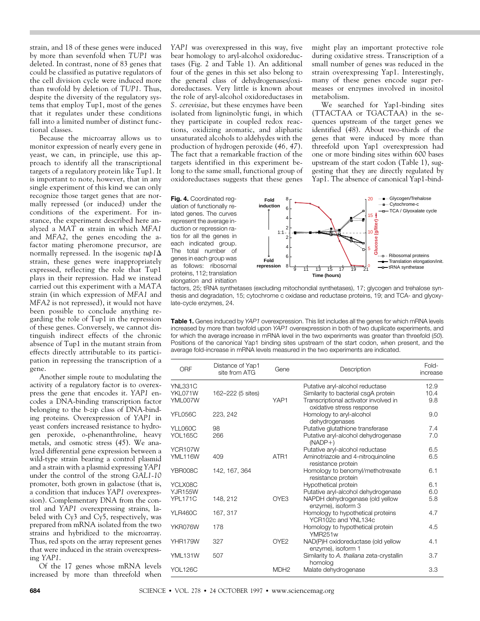strain, and 18 of these genes were induced by more than sevenfold when *TUP1* was deleted. In contrast, none of 83 genes that could be classified as putative regulators of the cell division cycle were induced more than twofold by deletion of *TUP1*. Thus, despite the diversity of the regulatory systems that employ Tup1, most of the genes that it regulates under these conditions fall into a limited number of distinct functional classes.

Because the microarray allows us to monitor expression of nearly every gene in yeast, we can, in principle, use this approach to identify all the transcriptional targets of a regulatory protein like Tup1. It is important to note, however, that in any single experiment of this kind we can only recognize those target genes that are normally repressed (or induced) under the conditions of the experiment. For instance, the experiment described here analyzed a  $MAT \alpha$  strain in which  $MFA1$ and *MFA2*, the genes encoding the afactor mating pheromone precursor, are normally repressed. In the isogenic  $turb1\Delta$ strain, these genes were inappropriately expressed, reflecting the role that Tup1 plays in their repression. Had we instead carried out this experiment with a *MATA* strain (in which expression of *MFA1* and *MFA2* is not repressed), it would not have been possible to conclude anything regarding the role of Tup1 in the repression of these genes. Conversely, we cannot distinguish indirect effects of the chronic absence of Tup1 in the mutant strain from effects directly attributable to its participation in repressing the transcription of a gene.

Another simple route to modulating the activity of a regulatory factor is to overexpress the gene that encodes it. *YAP1* encodes a DNA-binding transcription factor belonging to the b-zip class of DNA-binding proteins. Overexpression of *YAP1* in yeast confers increased resistance to hydrogen peroxide, *o*-phenanthroline, heavy metals, and osmotic stress (*45*). We analyzed differential gene expression between a wild-type strain bearing a control plasmid and a strain with a plasmid expressing *YAP1* under the control of the strong *GAL1-10* promoter, both grown in galactose (that is, a condition that induces *YAP1* overexpression). Complementary DNA from the control and *YAP1* overexpressing strains, labeled with Cy3 and Cy5, respectively, was prepared from mRNA isolated from the two strains and hybridized to the microarray. Thus, red spots on the array represent genes that were induced in the strain overexpressing *YAP1*.

Of the 17 genes whose mRNA levels increased by more than threefold when *YAP1* was overexpressed in this way, five bear homology to aryl-alcohol oxidoreductases (Fig. 2 and Table 1). An additional four of the genes in this set also belong to the general class of dehydrogenases/oxidoreductases. Very little is known about the role of aryl-alcohol oxidoreductases in *S. cerevisiae*, but these enzymes have been isolated from ligninolytic fungi, in which they participate in coupled redox reactions, oxidizing aromatic, and aliphatic unsaturated alcohols to aldehydes with the production of hydrogen peroxide (*46, 47*). The fact that a remarkable fraction of the targets identified in this experiment belong to the same small, functional group of oxidoreductases suggests that these genes

**Fig. 4.** Coordinated regulation of functionally related genes. The curves represent the average induction or repression ratios for all the genes in each indicated group. The total number of genes in each group was as follows: ribosomal proteins, 112; translation elongation and initiation



metabolism.

might play an important protective role during oxidative stress. Transcription of a small number of genes was reduced in the strain overexpressing Yap1. Interestingly, many of these genes encode sugar permeases or enzymes involved in inositol

We searched for Yap1-binding sites (TTACTAA or TGACTAA) in the sequences upstream of the target genes we identified (*48*). About two-thirds of the genes that were induced by more than threefold upon Yap1 overexpression had one or more binding sites within 600 bases upstream of the start codon (Table 1), suggesting that they are directly regulated by Yap1. The absence of canonical Yap1-bind-

factors, 25; tRNA synthetases (excluding mitochondial synthetases), 17; glycogen and trehalose synthesis and degradation, 15; cytochrome c oxidase and reductase proteins, 19; and TCA- and glyoxylate-cycle enzymes, 24.

**Table 1.** Genes induced by *YAP1* overexpression. This list includes all the genes for which mRNA levels increased by more than twofold upon *YAP1* overexpression in both of two duplicate experiments, and for which the average increase in mRNA level in the two experiments was greater than threefold (*50*). Positions of the canonical Yap1 binding sites upstream of the start codon, when present, and the average fold-increase in mRNA levels measured in the two experiments are indicated.

| ORF            | Distance of Yap1<br>site from ATG | Gene             | Description                                                        | Fold-<br>increase |
|----------------|-----------------------------------|------------------|--------------------------------------------------------------------|-------------------|
| YNL331C        |                                   |                  | Putative aryl-alcohol reductase                                    | 12.9              |
| YKL071W        | 162-222 (5 sites)                 |                  | Similarity to bacterial csgA protein                               | 10.4              |
| YML007W        |                                   | YAP1             | Transcriptional activator involved in<br>oxidative stress response | 9.8               |
| YFL056C        | 223, 242                          |                  | Homology to aryl-alcohol<br>dehydrogenases                         | 9.0               |
| <b>YLL060C</b> | 98                                |                  | Putative glutathione transferase                                   | 7.4               |
| <b>YOL165C</b> | 266                               |                  | Putative aryl-alcohol dehydrogenase<br>$(NADP+)$                   | 7.0               |
| <b>YCR107W</b> |                                   |                  | Putative aryl-alcohol reductase                                    | 6.5               |
| <b>YML116W</b> | 409                               | ATR <sub>1</sub> | Aminotriazole and 4-nitroquinoline<br>resistance protein           | 6.5               |
| YBR008C        | 142, 167, 364                     |                  | Homology to benomyl/methotrexate<br>resistance protein             | 6.1               |
| YCLX08C        |                                   |                  | Hypothetical protein                                               | 6.1               |
| <b>YJR155W</b> |                                   |                  | Putative aryl-alcohol dehydrogenase                                | 6.0               |
| YPL171C        | 148, 212                          | OYE3             | NAPDH dehydrogenase (old yellow<br>enzyme), isoform 3              | 5.8               |
| <b>YLR460C</b> | 167, 317                          |                  | Homology to hypothetical proteins<br>YCR102c and YNL134c           | 4.7               |
| YKR076W        | 178                               |                  | Homology to hypothetical protein<br>YMR251w                        | 4.5               |
| <b>YHR179W</b> | 327                               | OYE <sub>2</sub> | NAD(P)H oxidoreductase (old yellow<br>enzyme), isoform 1           | 4.1               |
| YML131W        | 507                               |                  | Similarity to A. thaliana zeta-crystallin<br>homolog               | 3.7               |
| YOL126C        |                                   | MDH <sub>2</sub> | Malate dehydrogenase                                               | 3.3               |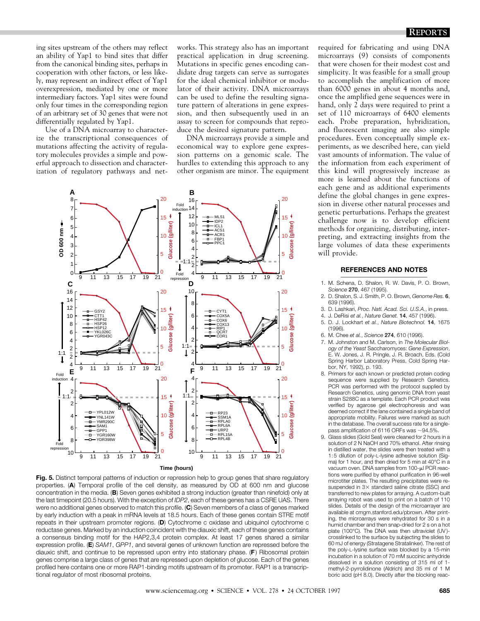ing sites upstream of the others may reflect an ability of Yap1 to bind sites that differ from the canonical binding sites, perhaps in cooperation with other factors, or less likely, may represent an indirect effect of Yap1 overexpression, mediated by one or more intermediary factors. Yap1 sites were found only four times in the corresponding region of an arbitrary set of 30 genes that were not differentially regulated by Yap1.

Use of a DNA microarray to characterize the transcriptional consequences of mutations affecting the activity of regulatory molecules provides a simple and powerful approach to dissection and characterization of regulatory pathways and networks. This strategy also has an important practical application in drug screening. Mutations in specific genes encoding candidate drug targets can serve as surrogates for the ideal chemical inhibitor or modulator of their activity. DNA microarrays can be used to define the resulting signature pattern of alterations in gene expression, and then subsequently used in an assay to screen for compounds that reproduce the desired signature pattern.

DNA microarrays provide a simple and economical way to explore gene expression patterns on a genomic scale. The hurdles to extending this approach to any other organism are minor. The equipment



Fig. 5. Distinct temporal patterns of induction or repression help to group genes that share regulatory properties. (**A**) Temporal profile of the cell density, as measured by OD at 600 nm and glucose concentration in the media. (**B**) Seven genes exhibited a strong induction (greater than ninefold) only at the last timepoint (20.5 hours). With the exception of *IDP2*, each of these genes has a CSRE UAS. There were no additional genes observed to match this profile. (**C**) Seven members of a class of genes marked by early induction with a peak in mRNA levels at 18.5 hours. Each of these genes contain STRE motif repeats in their upstream promoter regions. (**D**) Cytochrome c oxidase and ubiquinol cytochrome c reductase genes. Marked by an induction coincident with the diauxic shift, each of these genes contains a consensus binding motif for the HAP2,3,4 protein complex. At least 17 genes shared a similar expression profile. (**E**) *SAM1*, *GPP1*, and several genes of unknown function are repressed before the diauxic shift, and continue to be repressed upon entry into stationary phase. (**F**) Ribosomal protein genes comprise a large class of genes that are repressed upon depletion of glucose. Each of the genes profiled here contains one or more RAP1-binding motifs upstream of its promoter. RAP1 is a transcriptional regulator of most ribosomal proteins.

required for fabricating and using DNA microarrays (*9*) consists of components that were chosen for their modest cost and simplicity. It was feasible for a small group to accomplish the amplification of more than 6000 genes in about 4 months and, once the amplified gene sequences were in hand, only 2 days were required to print a set of 110 microarrays of 6400 elements each. Probe preparation, hybridization, and fluorescent imaging are also simple procedures. Even conceptually simple experiments, as we described here, can yield vast amounts of information. The value of the information from each experiment of this kind will progressively increase as more is learned about the functions of each gene and as additional experiments define the global changes in gene expression in diverse other natural processes and genetic perturbations. Perhaps the greatest challenge now is to develop efficient methods for organizing, distributing, interpreting, and extracting insights from the large volumes of data these experiments will provide.

## **REFERENCES AND NOTES \_\_\_\_\_\_\_\_\_\_\_\_\_\_\_\_\_\_\_\_\_\_\_\_\_\_\_**

- 1. M. Schena, D. Shalon, R. W. Davis, P. O. Brown, *Science* 270, 467 (1995).
- 2. D. Shalon, S. J. Smith, P. O. Brown, *Genome Res.* 6, 639 (1996).
- 3. D. Lashkari, *Proc. Natl. Acad. Sci. U.S.A.*, in press.
- 4. J. DeRisi *et al.*, *Nature Genet.* 14, 457 (1996).
- 5. D. J. Lockhart *et al.*, *Nature Biotechnol.* 14, 1675 (1996).
- 6. M. Chee *et al.*, *Science* 274, 610 (1996).
- 7. M. Johnston and M. Carlson, in *The Molecular Biology of the Yeast* Saccharomyces: *Gene Expression*, E. W. Jones, J. R. Pringle, J. R. Broach, Eds. (Cold Spring Harbor Laboratory Press, Cold Spring Harbor, NY, 1992), p. 193.
- 8. Primers for each known or predicted protein coding sequence were supplied by Research Genetics. PCR was performed with the protocol supplied by Research Genetics, using genomic DNA from yeast strain S288C as a template. Each PCR product was verified by agarose gel electrophoresis and was deemed correct if the lane contained a single band of appropriate mobility. Failures were marked as such in the database. The overall success rate for a singlepass amplification of 6116 ORFs was  ${\sim}94.5\%$
- 9. Glass slides (Gold Seal) were cleaned for 2 hours in a solution of 2 N NaOH and 70% ethanol. After rinsing in distilled water, the slides were then treated with a 1:5 dilution of poly-L-lysine adhesive solution (Sigma) for 1 hour, and then dried for 5 min at 40°C in a vacuum oven. DNA samples from 100-ul PCR reactions were purified by ethanol purification in 96-well microtiter plates. The resulting precipitates were resuspended in  $3\times$  standard saline citrate (SSC) and transferred to new plates for arraying. A custom-built arraying robot was used to print on a batch of 110 slides. Details of the design of the microarrayer are available at cmgm.stanford.edu/pbrown. After printing, the microarrays were rehydrated for 30 s in a humid chamber and then snap-dried for 2 s on a hot plate (100°C). The DNA was then ultraviolet (UV ) crosslinked to the surface by subjecting the slides to 60 mJ of energy (Stratagene Stratalinker). The rest of the poly-L-lysine surface was blocked by a 15-min incubation in a solution of 70 mM succinic anhydride dissolved in a solution consisting of 315 ml of 1 methyl-2-pyrrolidinone (Aldrich) and 35 ml of 1 M boric acid (pH 8.0). Directly after the blocking reac-